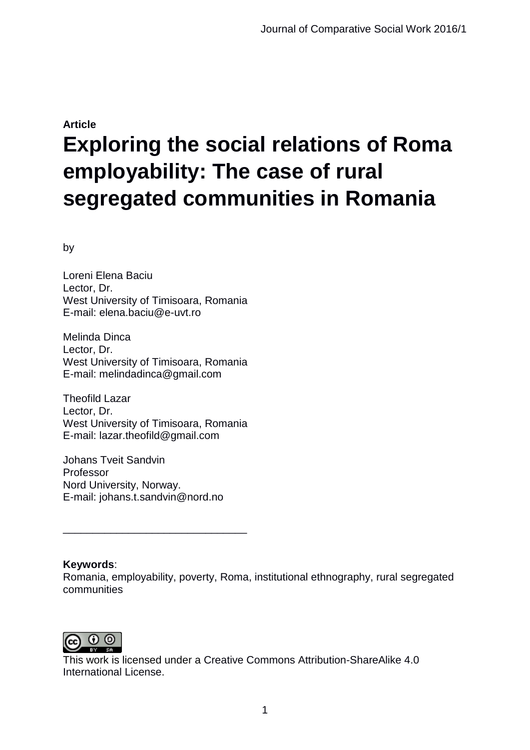# **Article Exploring the social relations of Roma employability: The case of rural segregated communities in Romania**

by

Loreni Elena Baciu Lector, Dr. West University of Timisoara, Romania E-mail: elena.baciu@e-uvt.ro

Melinda Dinca Lector, Dr. West University of Timisoara, Romania E-mail: melindadinca@gmail.com

Theofild Lazar Lector, Dr. West University of Timisoara, Romania E-mail: lazar.theofild@gmail.com

Johans Tveit Sandvin Professor Nord University, Norway. E-mail: johans.t.sandvin@nord.no

\_\_\_\_\_\_\_\_\_\_\_\_\_\_\_\_\_\_\_\_\_\_\_\_\_\_\_\_\_\_\_

#### **Keywords**:

Romania, employability, poverty, Roma, institutional ethnography, rural segregated communities



This work is licensed under a Creative Commons Attribution-ShareAlike 4.0 International License.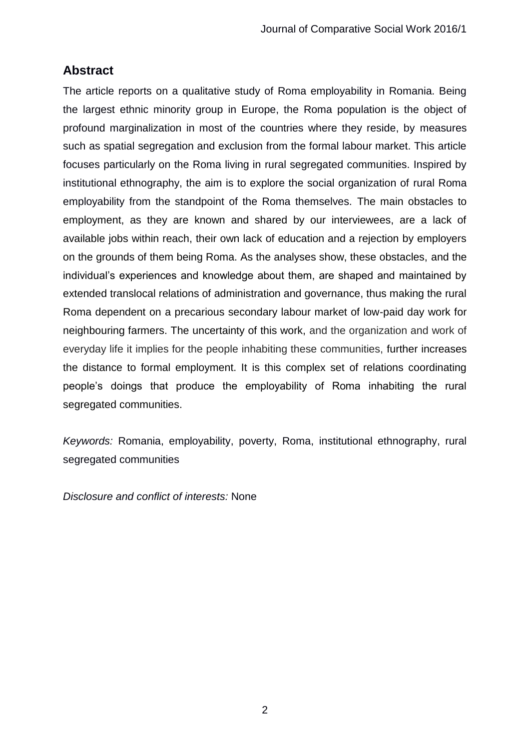# **Abstract**

The article reports on a qualitative study of Roma employability in Romania. Being the largest ethnic minority group in Europe, the Roma population is the object of profound marginalization in most of the countries where they reside, by measures such as spatial segregation and exclusion from the formal labour market. This article focuses particularly on the Roma living in rural segregated communities. Inspired by institutional ethnography, the aim is to explore the social organization of rural Roma employability from the standpoint of the Roma themselves. The main obstacles to employment, as they are known and shared by our interviewees, are a lack of available jobs within reach, their own lack of education and a rejection by employers on the grounds of them being Roma. As the analyses show, these obstacles, and the individual's experiences and knowledge about them, are shaped and maintained by extended translocal relations of administration and governance, thus making the rural Roma dependent on a precarious secondary labour market of low-paid day work for neighbouring farmers. The uncertainty of this work, and the organization and work of everyday life it implies for the people inhabiting these communities, further increases the distance to formal employment. It is this complex set of relations coordinating people's doings that produce the employability of Roma inhabiting the rural segregated communities.

*Keywords:* Romania, employability, poverty, Roma, institutional ethnography, rural segregated communities

*Disclosure and conflict of interests:* None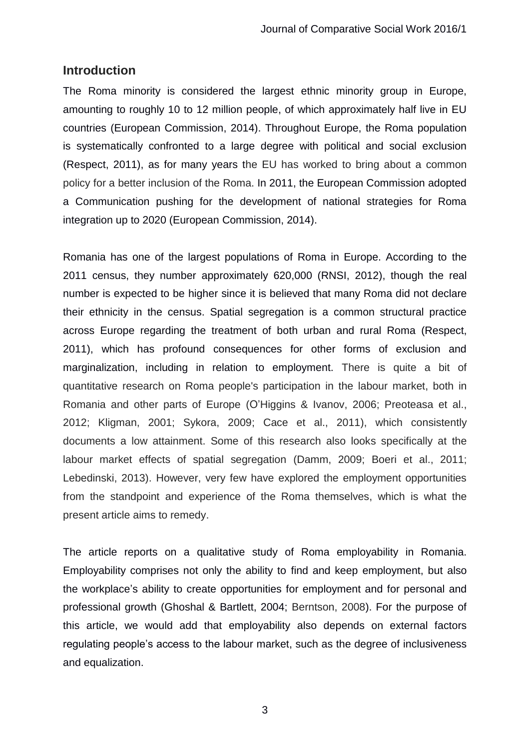### **Introduction**

The Roma minority is considered the largest ethnic minority group in Europe, amounting to roughly 10 to 12 million people, of which approximately half live in EU countries (European Commission, 2014). Throughout Europe, the Roma population is systematically confronted to a large degree with political and social exclusion (Respect, 2011), as for many years the EU has worked to bring about a common policy for a better inclusion of the Roma. In 2011, the European Commission adopted a Communication pushing for the development of national strategies for Roma integration up to 2020 (European Commission, 2014).

Romania has one of the largest populations of Roma in Europe. According to the 2011 census, they number approximately 620,000 (RNSI, 2012), though the real number is expected to be higher since it is believed that many Roma did not declare their ethnicity in the census. Spatial segregation is a common structural practice across Europe regarding the treatment of both urban and rural Roma (Respect, 2011), which has profound consequences for other forms of exclusion and marginalization, including in relation to employment. There is quite a bit of quantitative research on Roma people's participation in the labour market, both in Romania and other parts of Europe (O'Higgins & Ivanov, 2006; Preoteasa et al., 2012; Kligman, 2001; Sykora, 2009; Cace et al., 2011), which consistently documents a low attainment. Some of this research also looks specifically at the labour market effects of spatial segregation (Damm, 2009; Boeri et al., 2011; Lebedinski, 2013). However, very few have explored the employment opportunities from the standpoint and experience of the Roma themselves, which is what the present article aims to remedy.

The article reports on a qualitative study of Roma employability in Romania. Employability comprises not only the ability to find and keep employment, but also the workplace's ability to create opportunities for employment and for personal and professional growth (Ghoshal & Bartlett, 2004; Berntson, 2008). For the purpose of this article, we would add that employability also depends on external factors regulating people's access to the labour market, such as the degree of inclusiveness and equalization.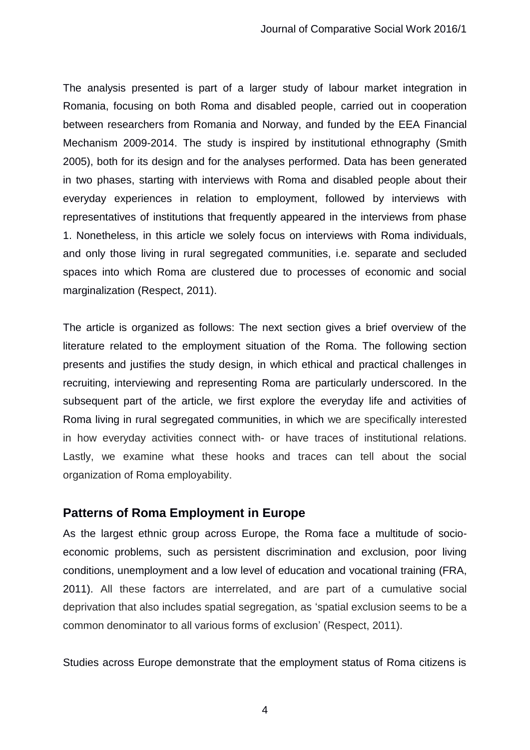The analysis presented is part of a larger study of labour market integration in Romania, focusing on both Roma and disabled people, carried out in cooperation between researchers from Romania and Norway, and funded by the EEA Financial Mechanism 2009-2014. The study is inspired by institutional ethnography (Smith 2005), both for its design and for the analyses performed. Data has been generated in two phases, starting with interviews with Roma and disabled people about their everyday experiences in relation to employment, followed by interviews with representatives of institutions that frequently appeared in the interviews from phase 1. Nonetheless, in this article we solely focus on interviews with Roma individuals, and only those living in rural segregated communities, i.e. separate and secluded spaces into which Roma are clustered due to processes of economic and social marginalization (Respect, 2011).

The article is organized as follows: The next section gives a brief overview of the literature related to the employment situation of the Roma. The following section presents and justifies the study design, in which ethical and practical challenges in recruiting, interviewing and representing Roma are particularly underscored. In the subsequent part of the article, we first explore the everyday life and activities of Roma living in rural segregated communities, in which we are specifically interested in how everyday activities connect with- or have traces of institutional relations. Lastly, we examine what these hooks and traces can tell about the social organization of Roma employability.

#### **Patterns of Roma Employment in Europe**

As the largest ethnic group across Europe, the Roma face a multitude of socioeconomic problems, such as persistent discrimination and exclusion, poor living conditions, unemployment and a low level of education and vocational training (FRA, 2011). All these factors are interrelated, and are part of a cumulative social deprivation that also includes spatial segregation, as 'spatial exclusion seems to be a common denominator to all various forms of exclusion' (Respect, 2011).

Studies across Europe demonstrate that the employment status of Roma citizens is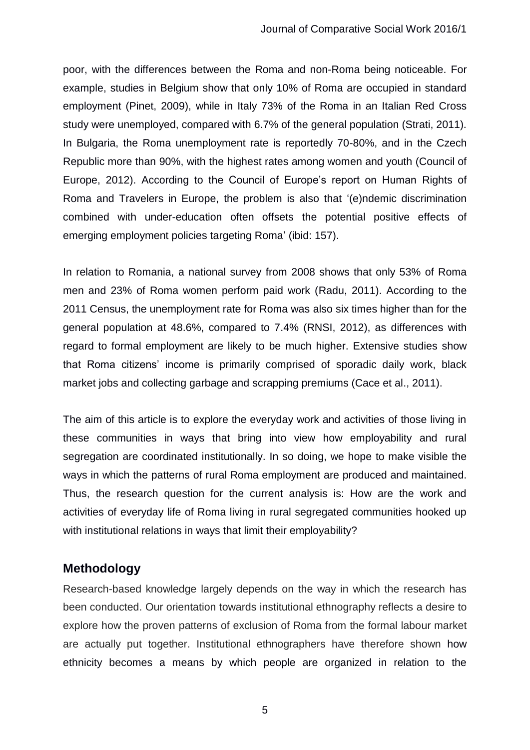poor, with the differences between the Roma and non-Roma being noticeable. For example, studies in Belgium show that only 10% of Roma are occupied in standard employment (Pinet, 2009), while in Italy 73% of the Roma in an Italian Red Cross study were unemployed, compared with 6.7% of the general population (Strati, 2011). In Bulgaria, the Roma unemployment rate is reportedly 70-80%, and in the Czech Republic more than 90%, with the highest rates among women and youth (Council of Europe, 2012). According to the Council of Europe's report on Human Rights of Roma and Travelers in Europe, the problem is also that '(e)ndemic discrimination combined with under-education often offsets the potential positive effects of emerging employment policies targeting Roma' (ibid: 157).

In relation to Romania, a national survey from 2008 shows that only 53% of Roma men and 23% of Roma women perform paid work (Radu, 2011). According to the 2011 Census, the unemployment rate for Roma was also six times higher than for the general population at 48.6%, compared to 7.4% (RNSI, 2012), as differences with regard to formal employment are likely to be much higher. Extensive studies show that Roma citizens' income is primarily comprised of sporadic daily work, black market jobs and collecting garbage and scrapping premiums (Cace et al., 2011).

The aim of this article is to explore the everyday work and activities of those living in these communities in ways that bring into view how employability and rural segregation are coordinated institutionally. In so doing, we hope to make visible the ways in which the patterns of rural Roma employment are produced and maintained. Thus, the research question for the current analysis is: How are the work and activities of everyday life of Roma living in rural segregated communities hooked up with institutional relations in ways that limit their employability?

# **Methodology**

Research-based knowledge largely depends on the way in which the research has been conducted. Our orientation towards institutional ethnography reflects a desire to explore how the proven patterns of exclusion of Roma from the formal labour market are actually put together. Institutional ethnographers have therefore shown how ethnicity becomes a means by which people are organized in relation to the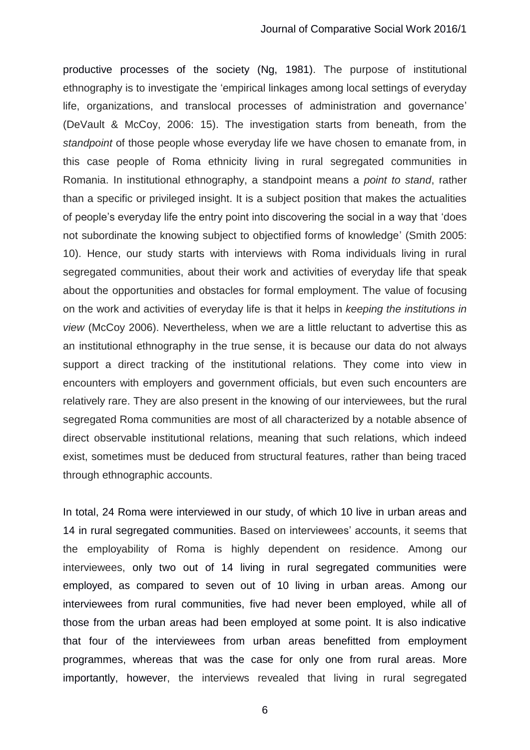productive processes of the society (Ng, 1981). The purpose of institutional ethnography is to investigate the 'empirical linkages among local settings of everyday life, organizations, and translocal processes of administration and governance' (DeVault & McCoy, 2006: 15). The investigation starts from beneath, from the *standpoint* of those people whose everyday life we have chosen to emanate from, in this case people of Roma ethnicity living in rural segregated communities in Romania. In institutional ethnography, a standpoint means a *point to stand*, rather than a specific or privileged insight. It is a subject position that makes the actualities of people's everyday life the entry point into discovering the social in a way that 'does not subordinate the knowing subject to objectified forms of knowledge' (Smith 2005: 10). Hence, our study starts with interviews with Roma individuals living in rural segregated communities, about their work and activities of everyday life that speak about the opportunities and obstacles for formal employment. The value of focusing on the work and activities of everyday life is that it helps in *keeping the institutions in view* (McCoy 2006). Nevertheless, when we are a little reluctant to advertise this as an institutional ethnography in the true sense, it is because our data do not always support a direct tracking of the institutional relations. They come into view in encounters with employers and government officials, but even such encounters are relatively rare. They are also present in the knowing of our interviewees, but the rural segregated Roma communities are most of all characterized by a notable absence of direct observable institutional relations, meaning that such relations, which indeed exist, sometimes must be deduced from structural features, rather than being traced through ethnographic accounts.

In total, 24 Roma were interviewed in our study, of which 10 live in urban areas and 14 in rural segregated communities. Based on interviewees' accounts, it seems that the employability of Roma is highly dependent on residence. Among our interviewees, only two out of 14 living in rural segregated communities were employed, as compared to seven out of 10 living in urban areas. Among our interviewees from rural communities, five had never been employed, while all of those from the urban areas had been employed at some point. It is also indicative that four of the interviewees from urban areas benefitted from employment programmes, whereas that was the case for only one from rural areas. More importantly, however, the interviews revealed that living in rural segregated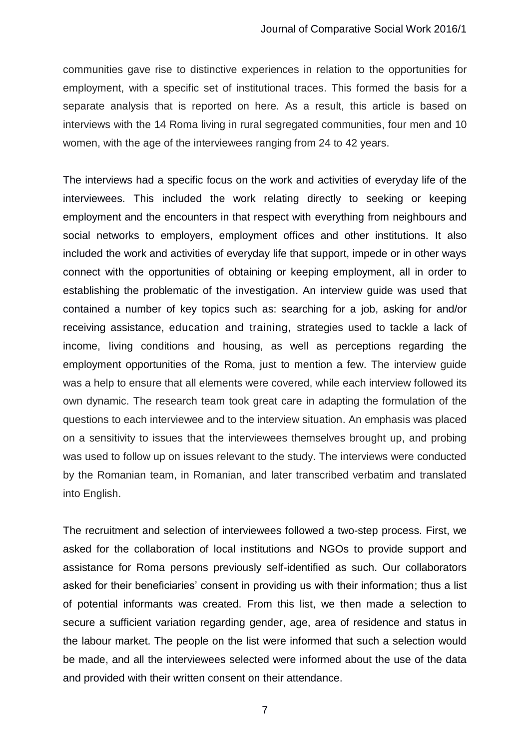communities gave rise to distinctive experiences in relation to the opportunities for employment, with a specific set of institutional traces. This formed the basis for a separate analysis that is reported on here. As a result, this article is based on interviews with the 14 Roma living in rural segregated communities, four men and 10 women, with the age of the interviewees ranging from 24 to 42 years.

The interviews had a specific focus on the work and activities of everyday life of the interviewees. This included the work relating directly to seeking or keeping employment and the encounters in that respect with everything from neighbours and social networks to employers, employment offices and other institutions. It also included the work and activities of everyday life that support, impede or in other ways connect with the opportunities of obtaining or keeping employment, all in order to establishing the problematic of the investigation. An interview guide was used that contained a number of key topics such as: searching for a job, asking for and/or receiving assistance, education and training, strategies used to tackle a lack of income, living conditions and housing, as well as perceptions regarding the employment opportunities of the Roma, just to mention a few. The interview guide was a help to ensure that all elements were covered, while each interview followed its own dynamic. The research team took great care in adapting the formulation of the questions to each interviewee and to the interview situation. An emphasis was placed on a sensitivity to issues that the interviewees themselves brought up, and probing was used to follow up on issues relevant to the study. The interviews were conducted by the Romanian team, in Romanian, and later transcribed verbatim and translated into English.

The recruitment and selection of interviewees followed a two-step process. First, we asked for the collaboration of local institutions and NGOs to provide support and assistance for Roma persons previously self-identified as such. Our collaborators asked for their beneficiaries' consent in providing us with their information; thus a list of potential informants was created. From this list, we then made a selection to secure a sufficient variation regarding gender, age, area of residence and status in the labour market. The people on the list were informed that such a selection would be made, and all the interviewees selected were informed about the use of the data and provided with their written consent on their attendance.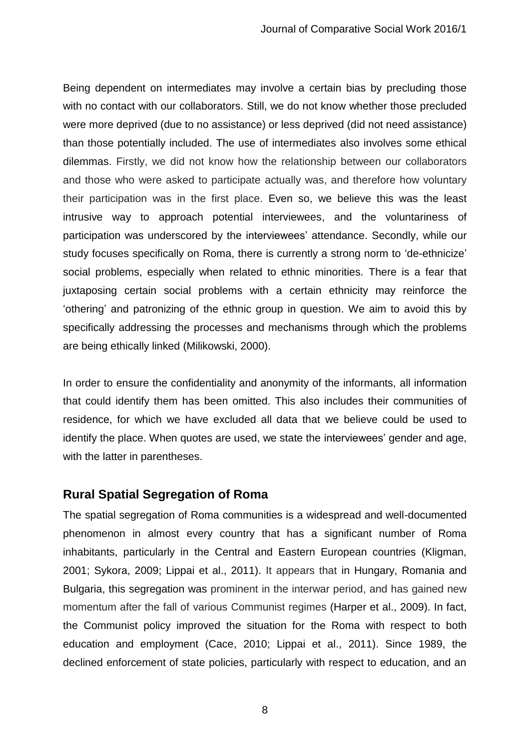Being dependent on intermediates may involve a certain bias by precluding those with no contact with our collaborators. Still, we do not know whether those precluded were more deprived (due to no assistance) or less deprived (did not need assistance) than those potentially included. The use of intermediates also involves some ethical dilemmas. Firstly, we did not know how the relationship between our collaborators and those who were asked to participate actually was, and therefore how voluntary their participation was in the first place. Even so, we believe this was the least intrusive way to approach potential interviewees, and the voluntariness of participation was underscored by the interviewees' attendance. Secondly, while our study focuses specifically on Roma, there is currently a strong norm to 'de-ethnicize' social problems, especially when related to ethnic minorities. There is a fear that juxtaposing certain social problems with a certain ethnicity may reinforce the 'othering' and patronizing of the ethnic group in question. We aim to avoid this by specifically addressing the processes and mechanisms through which the problems are being ethically linked (Milikowski, 2000).

In order to ensure the confidentiality and anonymity of the informants, all information that could identify them has been omitted. This also includes their communities of residence, for which we have excluded all data that we believe could be used to identify the place. When quotes are used, we state the interviewees' gender and age, with the latter in parentheses.

# **Rural Spatial Segregation of Roma**

The spatial segregation of Roma communities is a widespread and well-documented phenomenon in almost every country that has a significant number of Roma inhabitants, particularly in the Central and Eastern European countries (Kligman, 2001; Sykora, 2009; Lippai et al., 2011). It appears that in Hungary, Romania and Bulgaria, this segregation was prominent in the interwar period, and has gained new momentum after the fall of various Communist regimes (Harper et al., 2009). In fact, the Communist policy improved the situation for the Roma with respect to both education and employment (Cace, 2010; Lippai et al., 2011). Since 1989, the declined enforcement of state policies, particularly with respect to education, and an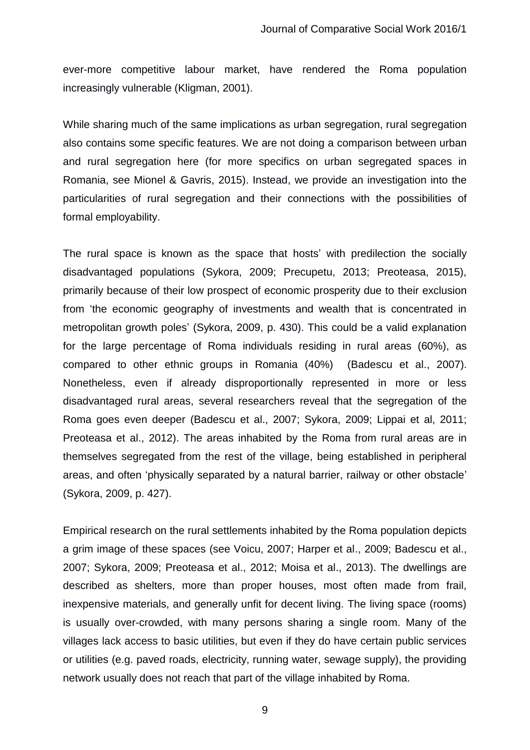ever-more competitive labour market, have rendered the Roma population increasingly vulnerable (Kligman, 2001).

While sharing much of the same implications as urban segregation, rural segregation also contains some specific features. We are not doing a comparison between urban and rural segregation here (for more specifics on urban segregated spaces in Romania, see Mionel & Gavris, 2015). Instead, we provide an investigation into the particularities of rural segregation and their connections with the possibilities of formal employability.

The rural space is known as the space that hosts' with predilection the socially disadvantaged populations (Sykora, 2009; Precupetu, 2013; Preoteasa, 2015), primarily because of their low prospect of economic prosperity due to their exclusion from 'the economic geography of investments and wealth that is concentrated in metropolitan growth poles' (Sykora, 2009, p. 430). This could be a valid explanation for the large percentage of Roma individuals residing in rural areas (60%), as compared to other ethnic groups in Romania (40%) (Badescu et al., 2007). Nonetheless, even if already disproportionally represented in more or less disadvantaged rural areas, several researchers reveal that the segregation of the Roma goes even deeper (Badescu et al., 2007; Sykora, 2009; Lippai et al, 2011; Preoteasa et al., 2012). The areas inhabited by the Roma from rural areas are in themselves segregated from the rest of the village, being established in peripheral areas, and often 'physically separated by a natural barrier, railway or other obstacle' (Sykora, 2009, p. 427).

Empirical research on the rural settlements inhabited by the Roma population depicts a grim image of these spaces (see Voicu, 2007; Harper et al., 2009; Badescu et al., 2007; Sykora, 2009; Preoteasa et al., 2012; Moisa et al., 2013). The dwellings are described as shelters, more than proper houses, most often made from frail, inexpensive materials, and generally unfit for decent living. The living space (rooms) is usually over-crowded, with many persons sharing a single room. Many of the villages lack access to basic utilities, but even if they do have certain public services or utilities (e.g. paved roads, electricity, running water, sewage supply), the providing network usually does not reach that part of the village inhabited by Roma.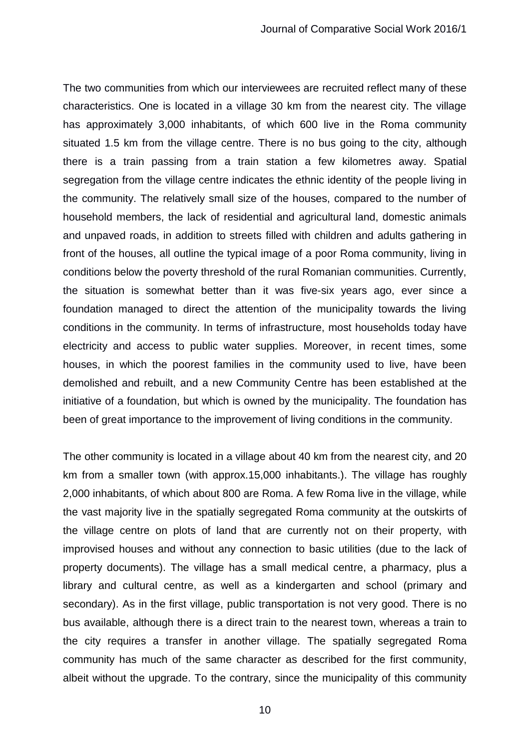The two communities from which our interviewees are recruited reflect many of these characteristics. One is located in a village 30 km from the nearest city. The village has approximately 3,000 inhabitants, of which 600 live in the Roma community situated 1.5 km from the village centre. There is no bus going to the city, although there is a train passing from a train station a few kilometres away. Spatial segregation from the village centre indicates the ethnic identity of the people living in the community. The relatively small size of the houses, compared to the number of household members, the lack of residential and agricultural land, domestic animals and unpaved roads, in addition to streets filled with children and adults gathering in front of the houses, all outline the typical image of a poor Roma community, living in conditions below the poverty threshold of the rural Romanian communities. Currently, the situation is somewhat better than it was five-six years ago, ever since a foundation managed to direct the attention of the municipality towards the living conditions in the community. In terms of infrastructure, most households today have electricity and access to public water supplies. Moreover, in recent times, some houses, in which the poorest families in the community used to live, have been demolished and rebuilt, and a new Community Centre has been established at the initiative of a foundation, but which is owned by the municipality. The foundation has been of great importance to the improvement of living conditions in the community.

The other community is located in a village about 40 km from the nearest city, and 20 km from a smaller town (with approx.15,000 inhabitants.). The village has roughly 2,000 inhabitants, of which about 800 are Roma. A few Roma live in the village, while the vast majority live in the spatially segregated Roma community at the outskirts of the village centre on plots of land that are currently not on their property, with improvised houses and without any connection to basic utilities (due to the lack of property documents). The village has a small medical centre, a pharmacy, plus a library and cultural centre, as well as a kindergarten and school (primary and secondary). As in the first village, public transportation is not very good. There is no bus available, although there is a direct train to the nearest town, whereas a train to the city requires a transfer in another village. The spatially segregated Roma community has much of the same character as described for the first community, albeit without the upgrade. To the contrary, since the municipality of this community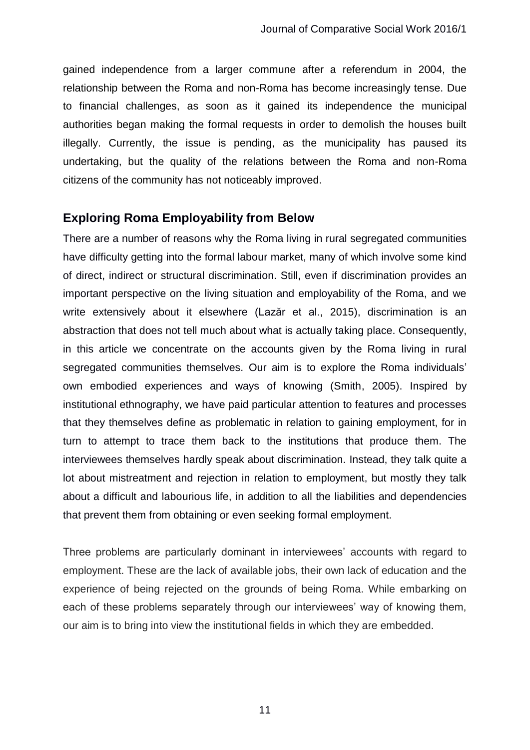gained independence from a larger commune after a referendum in 2004, the relationship between the Roma and non-Roma has become increasingly tense. Due to financial challenges, as soon as it gained its independence the municipal authorities began making the formal requests in order to demolish the houses built illegally. Currently, the issue is pending, as the municipality has paused its undertaking, but the quality of the relations between the Roma and non-Roma citizens of the community has not noticeably improved.

# **Exploring Roma Employability from Below**

There are a number of reasons why the Roma living in rural segregated communities have difficulty getting into the formal labour market, many of which involve some kind of direct, indirect or structural discrimination. Still, even if discrimination provides an important perspective on the living situation and employability of the Roma, and we write extensively about it elsewhere (Lazăr et al., 2015), discrimination is an abstraction that does not tell much about what is actually taking place. Consequently, in this article we concentrate on the accounts given by the Roma living in rural segregated communities themselves. Our aim is to explore the Roma individuals' own embodied experiences and ways of knowing (Smith, 2005). Inspired by institutional ethnography, we have paid particular attention to features and processes that they themselves define as problematic in relation to gaining employment, for in turn to attempt to trace them back to the institutions that produce them. The interviewees themselves hardly speak about discrimination. Instead, they talk quite a lot about mistreatment and rejection in relation to employment, but mostly they talk about a difficult and labourious life, in addition to all the liabilities and dependencies that prevent them from obtaining or even seeking formal employment.

Three problems are particularly dominant in interviewees' accounts with regard to employment. These are the lack of available jobs, their own lack of education and the experience of being rejected on the grounds of being Roma. While embarking on each of these problems separately through our interviewees' way of knowing them, our aim is to bring into view the institutional fields in which they are embedded.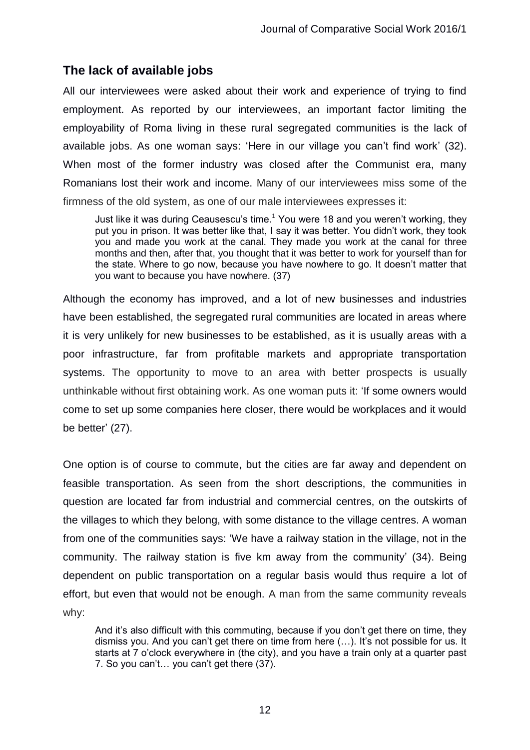# **The lack of available jobs**

All our interviewees were asked about their work and experience of trying to find employment. As reported by our interviewees, an important factor limiting the employability of Roma living in these rural segregated communities is the lack of available jobs. As one woman says: 'Here in our village you can't find work' (32). When most of the former industry was closed after the Communist era, many Romanians lost their work and income. Many of our interviewees miss some of the firmness of the old system, as one of our male interviewees expresses it:

Just like it was during Ceausescu's time.<sup>1</sup> You were 18 and you weren't working, they put you in prison. It was better like that, I say it was better. You didn't work, they took you and made you work at the canal. They made you work at the canal for three months and then, after that, you thought that it was better to work for yourself than for the state. Where to go now, because you have nowhere to go. It doesn't matter that you want to because you have nowhere. (37)

Although the economy has improved, and a lot of new businesses and industries have been established, the segregated rural communities are located in areas where it is very unlikely for new businesses to be established, as it is usually areas with a poor infrastructure, far from profitable markets and appropriate transportation systems. The opportunity to move to an area with better prospects is usually unthinkable without first obtaining work. As one woman puts it: 'If some owners would come to set up some companies here closer, there would be workplaces and it would be better' (27).

One option is of course to commute, but the cities are far away and dependent on feasible transportation. As seen from the short descriptions, the communities in question are located far from industrial and commercial centres, on the outskirts of the villages to which they belong, with some distance to the village centres. A woman from one of the communities says: 'We have a railway station in the village, not in the community. The railway station is five km away from the community' (34). Being dependent on public transportation on a regular basis would thus require a lot of effort, but even that would not be enough. A man from the same community reveals why:

And it's also difficult with this commuting, because if you don't get there on time, they dismiss you. And you can't get there on time from here (…). It's not possible for us. It starts at 7 o'clock everywhere in (the city), and you have a train only at a quarter past 7. So you can't… you can't get there (37).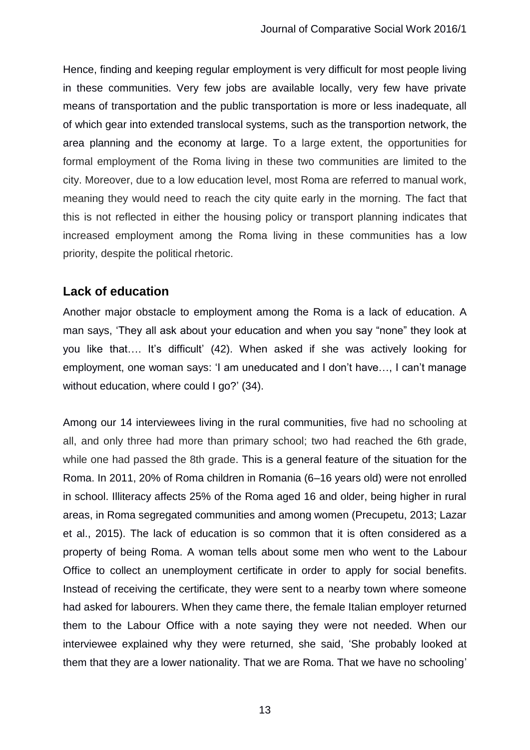Hence, finding and keeping regular employment is very difficult for most people living in these communities. Very few jobs are available locally, very few have private means of transportation and the public transportation is more or less inadequate, all of which gear into extended translocal systems, such as the transportion network, the area planning and the economy at large. To a large extent, the opportunities for formal employment of the Roma living in these two communities are limited to the city. Moreover, due to a low education level, most Roma are referred to manual work, meaning they would need to reach the city quite early in the morning. The fact that this is not reflected in either the housing policy or transport planning indicates that increased employment among the Roma living in these communities has a low priority, despite the political rhetoric.

# **Lack of education**

Another major obstacle to employment among the Roma is a lack of education. A man says, 'They all ask about your education and when you say "none" they look at you like that…. It's difficult' (42). When asked if she was actively looking for employment, one woman says: 'I am uneducated and I don't have…, I can't manage without education, where could I go?' (34).

Among our 14 interviewees living in the rural communities, five had no schooling at all, and only three had more than primary school; two had reached the 6th grade, while one had passed the 8th grade. This is a general feature of the situation for the Roma. In 2011, 20% of Roma children in Romania (6–16 years old) were not enrolled in school. Illiteracy affects 25% of the Roma aged 16 and older, being higher in rural areas, in Roma segregated communities and among women (Precupetu, 2013; Lazar et al., 2015). The lack of education is so common that it is often considered as a property of being Roma. A woman tells about some men who went to the Labour Office to collect an unemployment certificate in order to apply for social benefits. Instead of receiving the certificate, they were sent to a nearby town where someone had asked for labourers. When they came there, the female Italian employer returned them to the Labour Office with a note saying they were not needed. When our interviewee explained why they were returned, she said, 'She probably looked at them that they are a lower nationality. That we are Roma. That we have no schooling'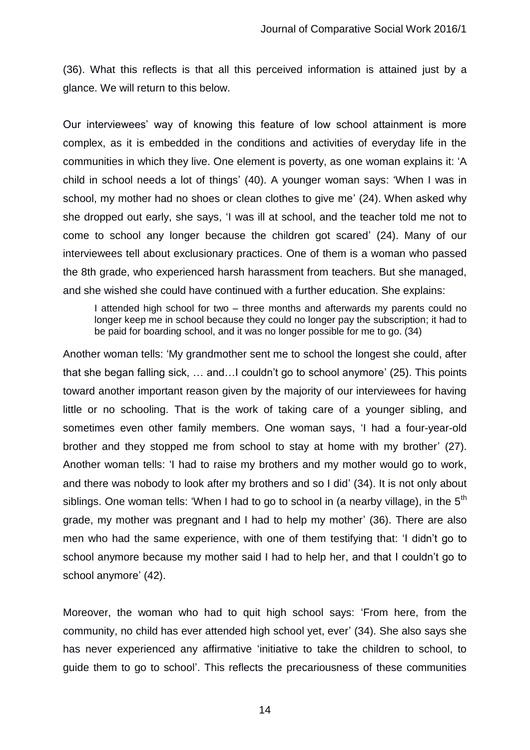(36). What this reflects is that all this perceived information is attained just by a glance. We will return to this below.

Our interviewees' way of knowing this feature of low school attainment is more complex, as it is embedded in the conditions and activities of everyday life in the communities in which they live. One element is poverty, as one woman explains it: 'A child in school needs a lot of things' (40). A younger woman says: 'When I was in school, my mother had no shoes or clean clothes to give me' (24). When asked why she dropped out early, she says, 'I was ill at school, and the teacher told me not to come to school any longer because the children got scared' (24). Many of our interviewees tell about exclusionary practices. One of them is a woman who passed the 8th grade, who experienced harsh harassment from teachers. But she managed, and she wished she could have continued with a further education. She explains:

I attended high school for two – three months and afterwards my parents could no longer keep me in school because they could no longer pay the subscription; it had to be paid for boarding school, and it was no longer possible for me to go. (34)

Another woman tells: 'My grandmother sent me to school the longest she could, after that she began falling sick, … and…I couldn't go to school anymore' (25). This points toward another important reason given by the majority of our interviewees for having little or no schooling. That is the work of taking care of a younger sibling, and sometimes even other family members. One woman says, 'I had a four-year-old brother and they stopped me from school to stay at home with my brother' (27). Another woman tells: 'I had to raise my brothers and my mother would go to work, and there was nobody to look after my brothers and so I did' (34). It is not only about siblings. One woman tells: 'When I had to go to school in (a nearby village), in the  $5<sup>th</sup>$ grade, my mother was pregnant and I had to help my mother' (36). There are also men who had the same experience, with one of them testifying that: 'I didn't go to school anymore because my mother said I had to help her, and that I couldn't go to school anymore' (42).

Moreover, the woman who had to quit high school says: 'From here, from the community, no child has ever attended high school yet, ever' (34). She also says she has never experienced any affirmative 'initiative to take the children to school, to guide them to go to school'. This reflects the precariousness of these communities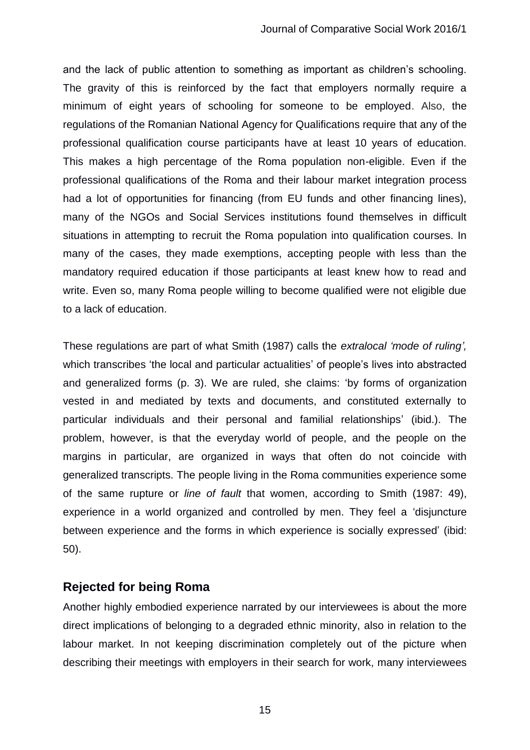and the lack of public attention to something as important as children's schooling. The gravity of this is reinforced by the fact that employers normally require a minimum of eight years of schooling for someone to be employed. Also, the regulations of the Romanian National Agency for Qualifications require that any of the professional qualification course participants have at least 10 years of education. This makes a high percentage of the Roma population non-eligible. Even if the professional qualifications of the Roma and their labour market integration process had a lot of opportunities for financing (from EU funds and other financing lines), many of the NGOs and Social Services institutions found themselves in difficult situations in attempting to recruit the Roma population into qualification courses. In many of the cases, they made exemptions, accepting people with less than the mandatory required education if those participants at least knew how to read and write. Even so, many Roma people willing to become qualified were not eligible due to a lack of education.

These regulations are part of what Smith (1987) calls the *extralocal 'mode of ruling',* which transcribes 'the local and particular actualities' of people's lives into abstracted and generalized forms (p. 3). We are ruled, she claims: 'by forms of organization vested in and mediated by texts and documents, and constituted externally to particular individuals and their personal and familial relationships' (ibid.). The problem, however, is that the everyday world of people, and the people on the margins in particular, are organized in ways that often do not coincide with generalized transcripts. The people living in the Roma communities experience some of the same rupture or *line of fault* that women, according to Smith (1987: 49), experience in a world organized and controlled by men. They feel a 'disjuncture between experience and the forms in which experience is socially expressed' (ibid: 50).

#### **Rejected for being Roma**

Another highly embodied experience narrated by our interviewees is about the more direct implications of belonging to a degraded ethnic minority, also in relation to the labour market. In not keeping discrimination completely out of the picture when describing their meetings with employers in their search for work, many interviewees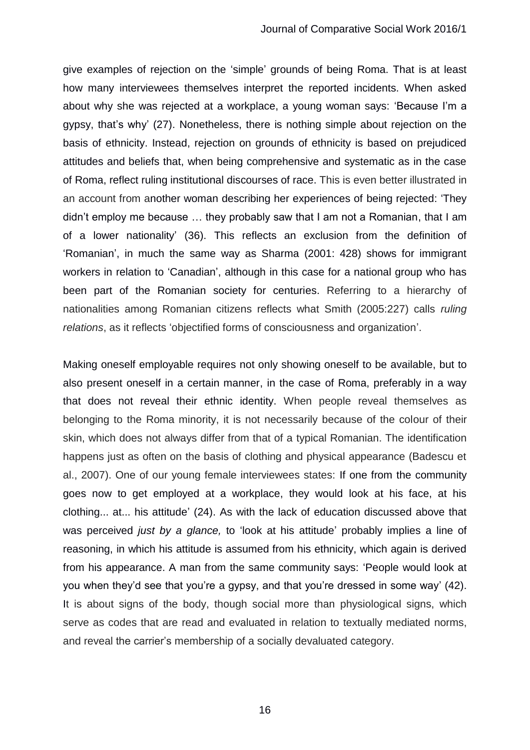give examples of rejection on the 'simple' grounds of being Roma. That is at least how many interviewees themselves interpret the reported incidents. When asked about why she was rejected at a workplace, a young woman says: 'Because I'm a gypsy, that's why' (27). Nonetheless, there is nothing simple about rejection on the basis of ethnicity. Instead, rejection on grounds of ethnicity is based on prejudiced attitudes and beliefs that, when being comprehensive and systematic as in the case of Roma, reflect ruling institutional discourses of race. This is even better illustrated in an account from another woman describing her experiences of being rejected: 'They didn't employ me because … they probably saw that I am not a Romanian, that I am of a lower nationality' (36). This reflects an exclusion from the definition of 'Romanian', in much the same way as Sharma (2001: 428) shows for immigrant workers in relation to 'Canadian', although in this case for a national group who has been part of the Romanian society for centuries. Referring to a hierarchy of nationalities among Romanian citizens reflects what Smith (2005:227) calls *ruling relations*, as it reflects 'objectified forms of consciousness and organization'.

Making oneself employable requires not only showing oneself to be available, but to also present oneself in a certain manner, in the case of Roma, preferably in a way that does not reveal their ethnic identity. When people reveal themselves as belonging to the Roma minority, it is not necessarily because of the colour of their skin, which does not always differ from that of a typical Romanian. The identification happens just as often on the basis of clothing and physical appearance (Badescu et al., 2007). One of our young female interviewees states: If one from the community goes now to get employed at a workplace, they would look at his face, at his clothing... at... his attitude' (24). As with the lack of education discussed above that was perceived *just by a glance,* to 'look at his attitude' probably implies a line of reasoning, in which his attitude is assumed from his ethnicity, which again is derived from his appearance. A man from the same community says: 'People would look at you when they'd see that you're a gypsy, and that you're dressed in some way' (42). It is about signs of the body, though social more than physiological signs, which serve as codes that are read and evaluated in relation to textually mediated norms, and reveal the carrier's membership of a socially devaluated category.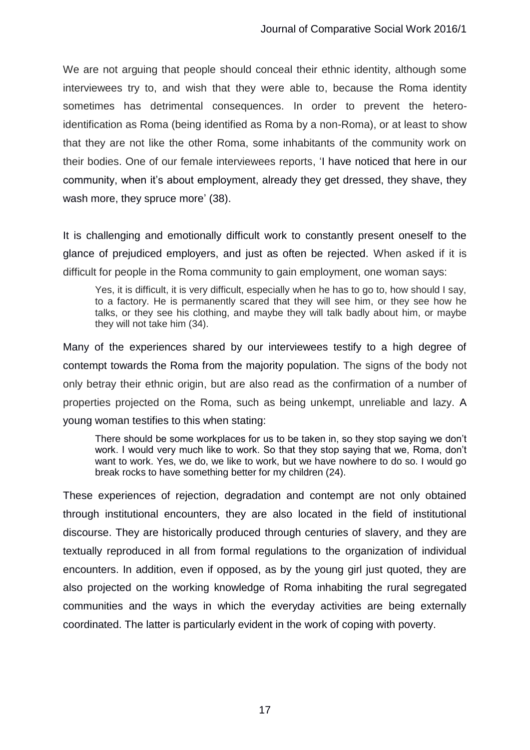We are not arguing that people should conceal their ethnic identity, although some interviewees try to, and wish that they were able to, because the Roma identity sometimes has detrimental consequences. In order to prevent the heteroidentification as Roma (being identified as Roma by a non-Roma), or at least to show that they are not like the other Roma, some inhabitants of the community work on their bodies. One of our female interviewees reports, 'I have noticed that here in our community, when it's about employment, already they get dressed, they shave, they wash more, they spruce more' (38).

It is challenging and emotionally difficult work to constantly present oneself to the glance of prejudiced employers, and just as often be rejected. When asked if it is difficult for people in the Roma community to gain employment, one woman says:

Yes, it is difficult, it is very difficult, especially when he has to go to, how should I say, to a factory. He is permanently scared that they will see him, or they see how he talks, or they see his clothing, and maybe they will talk badly about him, or maybe they will not take him (34).

Many of the experiences shared by our interviewees testify to a high degree of contempt towards the Roma from the majority population. The signs of the body not only betray their ethnic origin, but are also read as the confirmation of a number of properties projected on the Roma, such as being unkempt, unreliable and lazy. A young woman testifies to this when stating:

There should be some workplaces for us to be taken in, so they stop saying we don't work. I would very much like to work. So that they stop saying that we, Roma, don't want to work. Yes, we do, we like to work, but we have nowhere to do so. I would go break rocks to have something better for my children (24).

These experiences of rejection, degradation and contempt are not only obtained through institutional encounters, they are also located in the field of institutional discourse. They are historically produced through centuries of slavery, and they are textually reproduced in all from formal regulations to the organization of individual encounters. In addition, even if opposed, as by the young girl just quoted, they are also projected on the working knowledge of Roma inhabiting the rural segregated communities and the ways in which the everyday activities are being externally coordinated. The latter is particularly evident in the work of coping with poverty.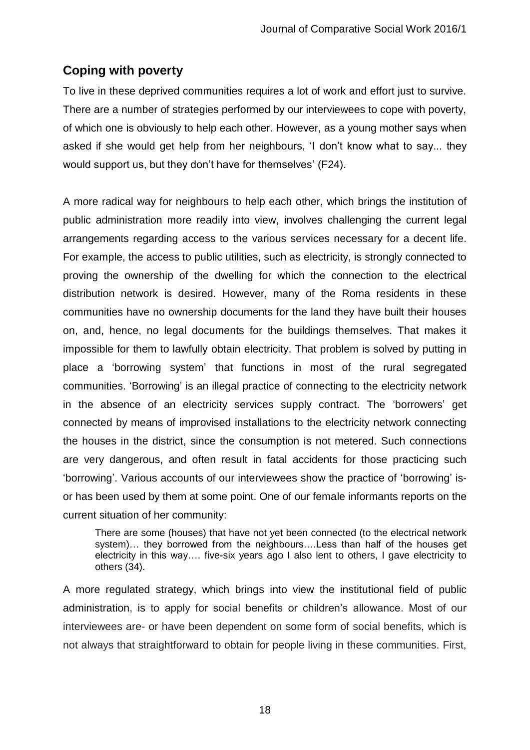# **Coping with poverty**

To live in these deprived communities requires a lot of work and effort just to survive. There are a number of strategies performed by our interviewees to cope with poverty, of which one is obviously to help each other. However, as a young mother says when asked if she would get help from her neighbours, 'I don't know what to say... they would support us, but they don't have for themselves' (F24).

A more radical way for neighbours to help each other, which brings the institution of public administration more readily into view, involves challenging the current legal arrangements regarding access to the various services necessary for a decent life. For example, the access to public utilities, such as electricity, is strongly connected to proving the ownership of the dwelling for which the connection to the electrical distribution network is desired. However, many of the Roma residents in these communities have no ownership documents for the land they have built their houses on, and, hence, no legal documents for the buildings themselves. That makes it impossible for them to lawfully obtain electricity. That problem is solved by putting in place a 'borrowing system' that functions in most of the rural segregated communities. 'Borrowing' is an illegal practice of connecting to the electricity network in the absence of an electricity services supply contract. The 'borrowers' get connected by means of improvised installations to the electricity network connecting the houses in the district, since the consumption is not metered. Such connections are very dangerous, and often result in fatal accidents for those practicing such 'borrowing'. Various accounts of our interviewees show the practice of 'borrowing' isor has been used by them at some point. One of our female informants reports on the current situation of her community:

There are some (houses) that have not yet been connected (to the electrical network system)… they borrowed from the neighbours….Less than half of the houses get electricity in this way…. five-six years ago I also lent to others, I gave electricity to others (34).

A more regulated strategy, which brings into view the institutional field of public administration, is to apply for social benefits or children's allowance. Most of our interviewees are- or have been dependent on some form of social benefits, which is not always that straightforward to obtain for people living in these communities. First,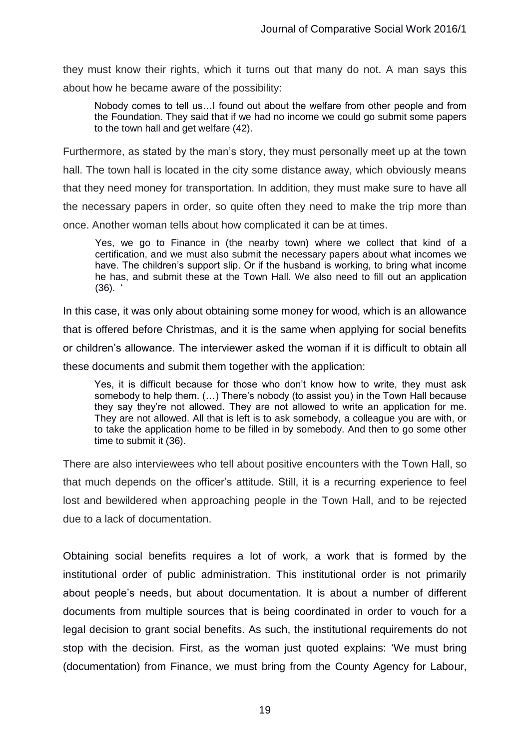they must know their rights, which it turns out that many do not. A man says this about how he became aware of the possibility:

Nobody comes to tell us…I found out about the welfare from other people and from the Foundation. They said that if we had no income we could go submit some papers to the town hall and get welfare (42).

Furthermore, as stated by the man's story, they must personally meet up at the town hall. The town hall is located in the city some distance away, which obviously means that they need money for transportation. In addition, they must make sure to have all the necessary papers in order, so quite often they need to make the trip more than once. Another woman tells about how complicated it can be at times.

Yes, we go to Finance in (the nearby town) where we collect that kind of a certification, and we must also submit the necessary papers about what incomes we have. The children's support slip. Or if the husband is working, to bring what income he has, and submit these at the Town Hall. We also need to fill out an application  $(36)$ .

In this case, it was only about obtaining some money for wood, which is an allowance that is offered before Christmas, and it is the same when applying for social benefits or children's allowance. The interviewer asked the woman if it is difficult to obtain all these documents and submit them together with the application:

Yes, it is difficult because for those who don't know how to write, they must ask somebody to help them. (…) There's nobody (to assist you) in the Town Hall because they say they're not allowed. They are not allowed to write an application for me. They are not allowed. All that is left is to ask somebody, a colleague you are with, or to take the application home to be filled in by somebody. And then to go some other time to submit it (36).

There are also interviewees who tell about positive encounters with the Town Hall, so that much depends on the officer's attitude. Still, it is a recurring experience to feel lost and bewildered when approaching people in the Town Hall, and to be rejected due to a lack of documentation.

Obtaining social benefits requires a lot of work, a work that is formed by the institutional order of public administration. This institutional order is not primarily about people's needs, but about documentation. It is about a number of different documents from multiple sources that is being coordinated in order to vouch for a legal decision to grant social benefits. As such, the institutional requirements do not stop with the decision. First, as the woman just quoted explains: 'We must bring (documentation) from Finance, we must bring from the County Agency for Labour,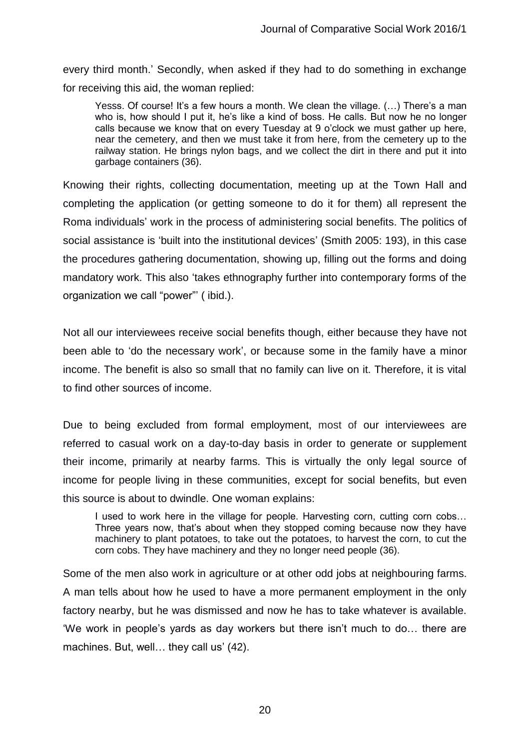every third month.' Secondly, when asked if they had to do something in exchange for receiving this aid, the woman replied:

Yesss. Of course! It's a few hours a month. We clean the village. (…) There's a man who is, how should I put it, he's like a kind of boss. He calls. But now he no longer calls because we know that on every Tuesday at 9 o'clock we must gather up here, near the cemetery, and then we must take it from here, from the cemetery up to the railway station. He brings nylon bags, and we collect the dirt in there and put it into garbage containers (36).

Knowing their rights, collecting documentation, meeting up at the Town Hall and completing the application (or getting someone to do it for them) all represent the Roma individuals' work in the process of administering social benefits. The politics of social assistance is 'built into the institutional devices' (Smith 2005: 193), in this case the procedures gathering documentation, showing up, filling out the forms and doing mandatory work. This also 'takes ethnography further into contemporary forms of the organization we call "power"' ( ibid.).

Not all our interviewees receive social benefits though, either because they have not been able to 'do the necessary work', or because some in the family have a minor income. The benefit is also so small that no family can live on it. Therefore, it is vital to find other sources of income.

Due to being excluded from formal employment, most of our interviewees are referred to casual work on a day-to-day basis in order to generate or supplement their income, primarily at nearby farms. This is virtually the only legal source of income for people living in these communities, except for social benefits, but even this source is about to dwindle. One woman explains:

I used to work here in the village for people. Harvesting corn, cutting corn cobs... Three years now, that's about when they stopped coming because now they have machinery to plant potatoes, to take out the potatoes, to harvest the corn, to cut the corn cobs. They have machinery and they no longer need people (36).

Some of the men also work in agriculture or at other odd jobs at neighbouring farms. A man tells about how he used to have a more permanent employment in the only factory nearby, but he was dismissed and now he has to take whatever is available. 'We work in people's yards as day workers but there isn't much to do… there are machines. But, well... they call us' (42).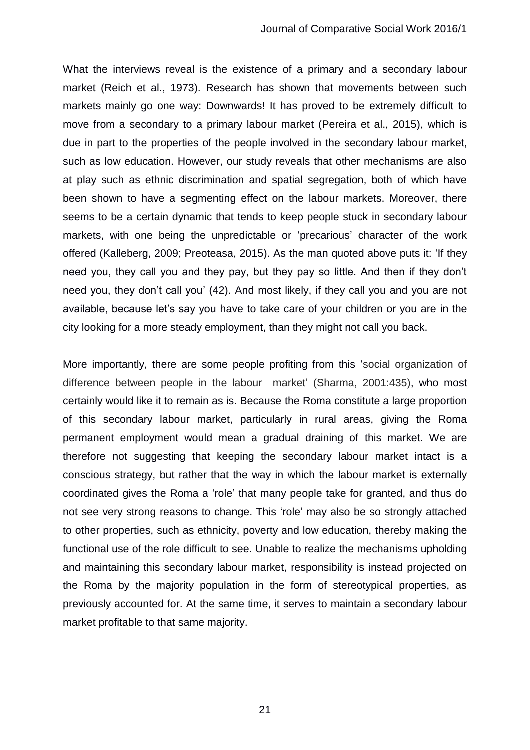What the interviews reveal is the existence of a primary and a secondary labour market (Reich et al., 1973). Research has shown that movements between such markets mainly go one way: Downwards! It has proved to be extremely difficult to move from a secondary to a primary labour market (Pereira et al., 2015), which is due in part to the properties of the people involved in the secondary labour market, such as low education. However, our study reveals that other mechanisms are also at play such as ethnic discrimination and spatial segregation, both of which have been shown to have a segmenting effect on the labour markets. Moreover, there seems to be a certain dynamic that tends to keep people stuck in secondary labour markets, with one being the unpredictable or 'precarious' character of the work offered (Kalleberg, 2009; Preoteasa, 2015). As the man quoted above puts it: 'If they need you, they call you and they pay, but they pay so little. And then if they don't need you, they don't call you' (42). And most likely, if they call you and you are not available, because let's say you have to take care of your children or you are in the city looking for a more steady employment, than they might not call you back.

More importantly, there are some people profiting from this 'social organization of difference between people in the labour market' (Sharma, 2001:435), who most certainly would like it to remain as is. Because the Roma constitute a large proportion of this secondary labour market, particularly in rural areas, giving the Roma permanent employment would mean a gradual draining of this market. We are therefore not suggesting that keeping the secondary labour market intact is a conscious strategy, but rather that the way in which the labour market is externally coordinated gives the Roma a 'role' that many people take for granted, and thus do not see very strong reasons to change. This 'role' may also be so strongly attached to other properties, such as ethnicity, poverty and low education, thereby making the functional use of the role difficult to see. Unable to realize the mechanisms upholding and maintaining this secondary labour market, responsibility is instead projected on the Roma by the majority population in the form of stereotypical properties, as previously accounted for. At the same time, it serves to maintain a secondary labour market profitable to that same majority.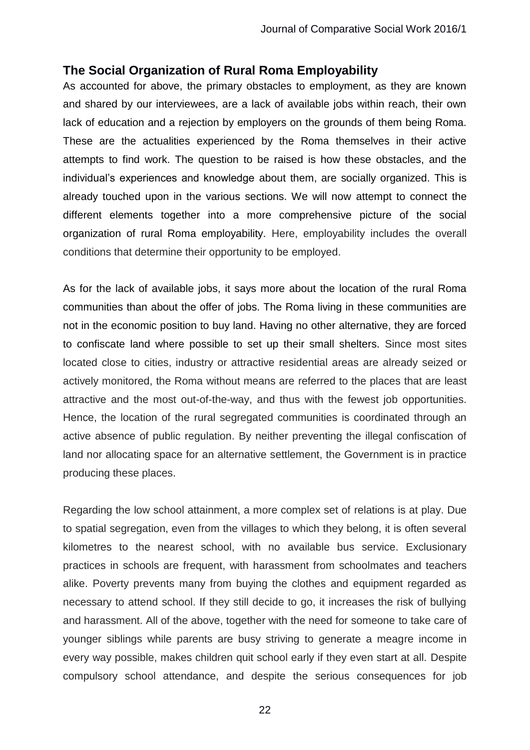# **The Social Organization of Rural Roma Employability**

As accounted for above, the primary obstacles to employment, as they are known and shared by our interviewees, are a lack of available jobs within reach, their own lack of education and a rejection by employers on the grounds of them being Roma. These are the actualities experienced by the Roma themselves in their active attempts to find work. The question to be raised is how these obstacles, and the individual's experiences and knowledge about them, are socially organized. This is already touched upon in the various sections. We will now attempt to connect the different elements together into a more comprehensive picture of the social organization of rural Roma employability. Here, employability includes the overall conditions that determine their opportunity to be employed.

As for the lack of available jobs, it says more about the location of the rural Roma communities than about the offer of jobs. The Roma living in these communities are not in the economic position to buy land. Having no other alternative, they are forced to confiscate land where possible to set up their small shelters. Since most sites located close to cities, industry or attractive residential areas are already seized or actively monitored, the Roma without means are referred to the places that are least attractive and the most out-of-the-way, and thus with the fewest job opportunities. Hence, the location of the rural segregated communities is coordinated through an active absence of public regulation. By neither preventing the illegal confiscation of land nor allocating space for an alternative settlement, the Government is in practice producing these places.

Regarding the low school attainment, a more complex set of relations is at play. Due to spatial segregation, even from the villages to which they belong, it is often several kilometres to the nearest school, with no available bus service. Exclusionary practices in schools are frequent, with harassment from schoolmates and teachers alike. Poverty prevents many from buying the clothes and equipment regarded as necessary to attend school. If they still decide to go, it increases the risk of bullying and harassment. All of the above, together with the need for someone to take care of younger siblings while parents are busy striving to generate a meagre income in every way possible, makes children quit school early if they even start at all. Despite compulsory school attendance, and despite the serious consequences for job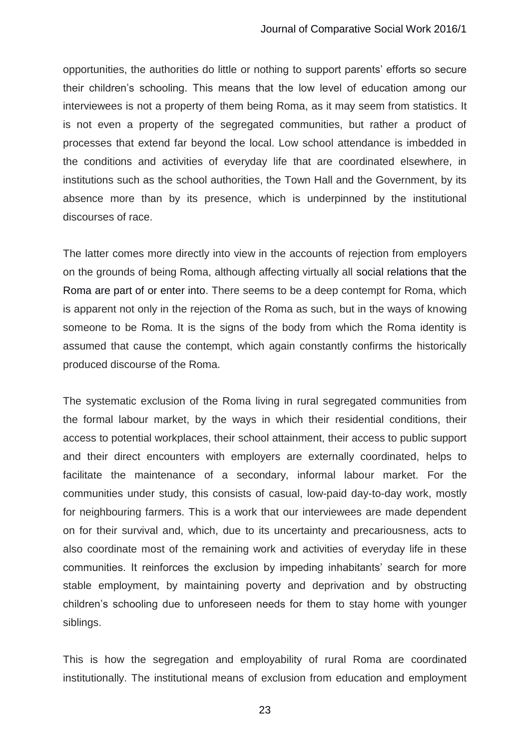opportunities, the authorities do little or nothing to support parents' efforts so secure their children's schooling. This means that the low level of education among our interviewees is not a property of them being Roma, as it may seem from statistics. It is not even a property of the segregated communities, but rather a product of processes that extend far beyond the local. Low school attendance is imbedded in the conditions and activities of everyday life that are coordinated elsewhere, in institutions such as the school authorities, the Town Hall and the Government, by its absence more than by its presence, which is underpinned by the institutional discourses of race.

The latter comes more directly into view in the accounts of rejection from employers on the grounds of being Roma, although affecting virtually all social relations that the Roma are part of or enter into. There seems to be a deep contempt for Roma, which is apparent not only in the rejection of the Roma as such, but in the ways of knowing someone to be Roma. It is the signs of the body from which the Roma identity is assumed that cause the contempt, which again constantly confirms the historically produced discourse of the Roma.

The systematic exclusion of the Roma living in rural segregated communities from the formal labour market, by the ways in which their residential conditions, their access to potential workplaces, their school attainment, their access to public support and their direct encounters with employers are externally coordinated, helps to facilitate the maintenance of a secondary, informal labour market. For the communities under study, this consists of casual, low-paid day-to-day work, mostly for neighbouring farmers. This is a work that our interviewees are made dependent on for their survival and, which, due to its uncertainty and precariousness, acts to also coordinate most of the remaining work and activities of everyday life in these communities. It reinforces the exclusion by impeding inhabitants' search for more stable employment, by maintaining poverty and deprivation and by obstructing children's schooling due to unforeseen needs for them to stay home with younger siblings.

This is how the segregation and employability of rural Roma are coordinated institutionally. The institutional means of exclusion from education and employment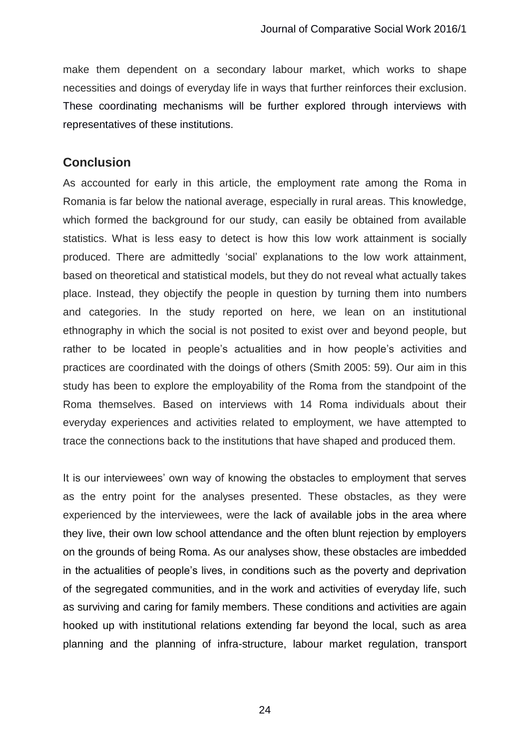make them dependent on a secondary labour market, which works to shape necessities and doings of everyday life in ways that further reinforces their exclusion. These coordinating mechanisms will be further explored through interviews with representatives of these institutions.

## **Conclusion**

As accounted for early in this article, the employment rate among the Roma in Romania is far below the national average, especially in rural areas. This knowledge, which formed the background for our study, can easily be obtained from available statistics. What is less easy to detect is how this low work attainment is socially produced. There are admittedly 'social' explanations to the low work attainment, based on theoretical and statistical models, but they do not reveal what actually takes place. Instead, they objectify the people in question by turning them into numbers and categories. In the study reported on here, we lean on an institutional ethnography in which the social is not posited to exist over and beyond people, but rather to be located in people's actualities and in how people's activities and practices are coordinated with the doings of others (Smith 2005: 59). Our aim in this study has been to explore the employability of the Roma from the standpoint of the Roma themselves. Based on interviews with 14 Roma individuals about their everyday experiences and activities related to employment, we have attempted to trace the connections back to the institutions that have shaped and produced them.

It is our interviewees' own way of knowing the obstacles to employment that serves as the entry point for the analyses presented. These obstacles, as they were experienced by the interviewees, were the lack of available jobs in the area where they live, their own low school attendance and the often blunt rejection by employers on the grounds of being Roma. As our analyses show, these obstacles are imbedded in the actualities of people's lives, in conditions such as the poverty and deprivation of the segregated communities, and in the work and activities of everyday life, such as surviving and caring for family members. These conditions and activities are again hooked up with institutional relations extending far beyond the local, such as area planning and the planning of infra-structure, labour market regulation, transport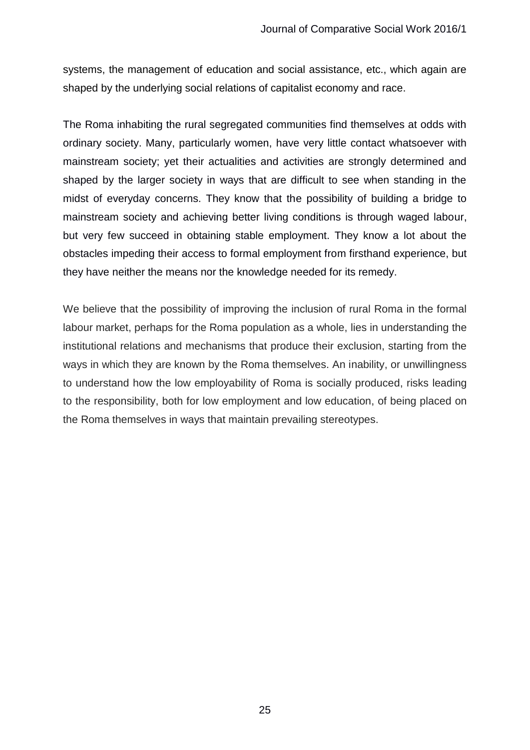systems, the management of education and social assistance, etc., which again are shaped by the underlying social relations of capitalist economy and race.

The Roma inhabiting the rural segregated communities find themselves at odds with ordinary society. Many, particularly women, have very little contact whatsoever with mainstream society; yet their actualities and activities are strongly determined and shaped by the larger society in ways that are difficult to see when standing in the midst of everyday concerns. They know that the possibility of building a bridge to mainstream society and achieving better living conditions is through waged labour, but very few succeed in obtaining stable employment. They know a lot about the obstacles impeding their access to formal employment from firsthand experience, but they have neither the means nor the knowledge needed for its remedy.

We believe that the possibility of improving the inclusion of rural Roma in the formal labour market, perhaps for the Roma population as a whole, lies in understanding the institutional relations and mechanisms that produce their exclusion, starting from the ways in which they are known by the Roma themselves. An inability, or unwillingness to understand how the low employability of Roma is socially produced, risks leading to the responsibility, both for low employment and low education, of being placed on the Roma themselves in ways that maintain prevailing stereotypes.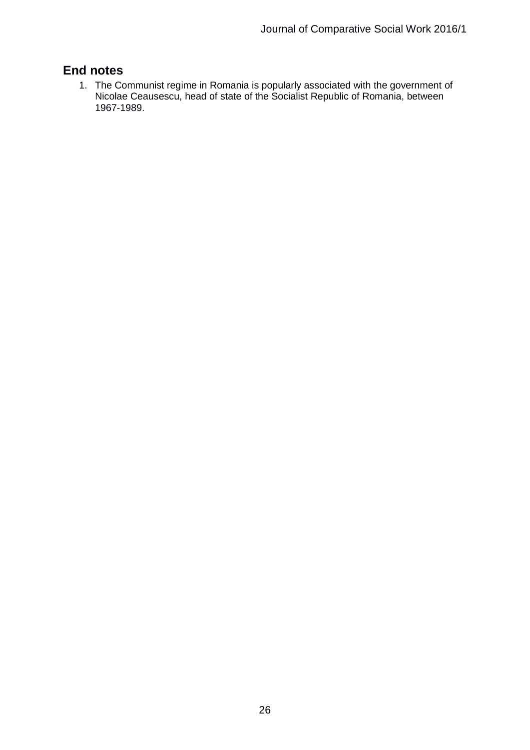# **End notes**

1. The Communist regime in Romania is popularly associated with the government of Nicolae Ceausescu, head of state of the Socialist Republic of Romania, between 1967-1989.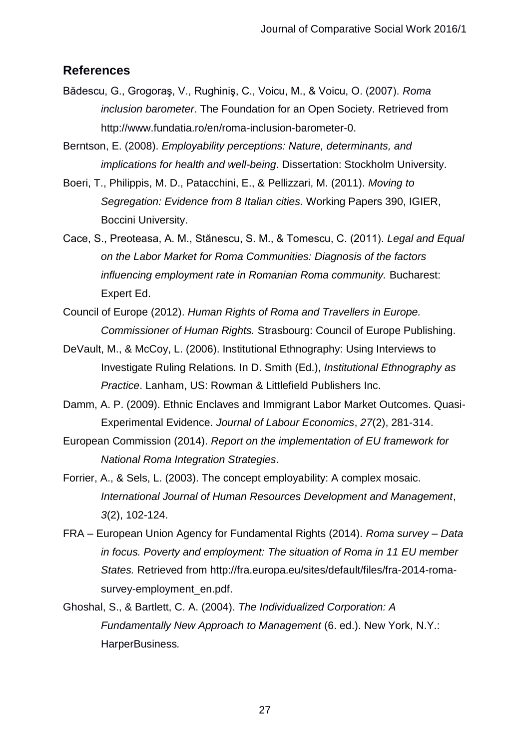#### **References**

- Bădescu, G., Grogoraş, V., Rughiniş, C., Voicu, M., & Voicu, O. (2007). *Roma inclusion barometer*. The Foundation for an Open Society. Retrieved from http://www.fundatia.ro/en/roma-inclusion-barometer-0.
- Berntson, E. (2008). *Employability perceptions: Nature, determinants, and implications for health and well-being*. Dissertation: Stockholm University.
- Boeri, T., Philippis, M. D., Patacchini, E., & Pellizzari, M. (2011). *Moving to Segregation: Evidence from 8 Italian cities.* Working Papers 390, IGIER, Boccini University.
- Cace, S., Preoteasa, A. M., Stănescu, S. M., & Tomescu, C. (2011). *Legal and Equal on the Labor Market for Roma Communities: Diagnosis of the factors influencing employment rate in Romanian Roma community.* Bucharest: Expert Ed.
- Council of Europe (2012). *Human Rights of Roma and Travellers in Europe. Commissioner of Human Rights.* Strasbourg: Council of Europe Publishing.
- DeVault, M., & McCoy, L. (2006). Institutional Ethnography: Using Interviews to Investigate Ruling Relations. In D. Smith (Ed.), *Institutional Ethnography as Practice*. Lanham, US: Rowman & Littlefield Publishers Inc.
- Damm, A. P. (2009). Ethnic Enclaves and Immigrant Labor Market Outcomes. Quasi-Experimental Evidence. *Journal of Labour Economics*, *27*(2), 281-314.
- European Commission (2014). *Report on the implementation of EU framework for National Roma Integration Strategies*.
- Forrier, A., & Sels, L. (2003). The concept employability: A complex mosaic. *International Journal of Human Resources Development and Management*, *3*(2), 102-124.
- FRA European Union Agency for Fundamental Rights (2014). *Roma survey – Data in focus. Poverty and employment: The situation of Roma in 11 EU member States.* Retrieved from http://fra.europa.eu/sites/default/files/fra-2014-romasurvey-employment\_en.pdf.
- Ghoshal, S., & Bartlett, C. A. (2004). *The Individualized Corporation: A Fundamentally New Approach to Management* (6. ed.). New York, N.Y.: HarperBusiness*.*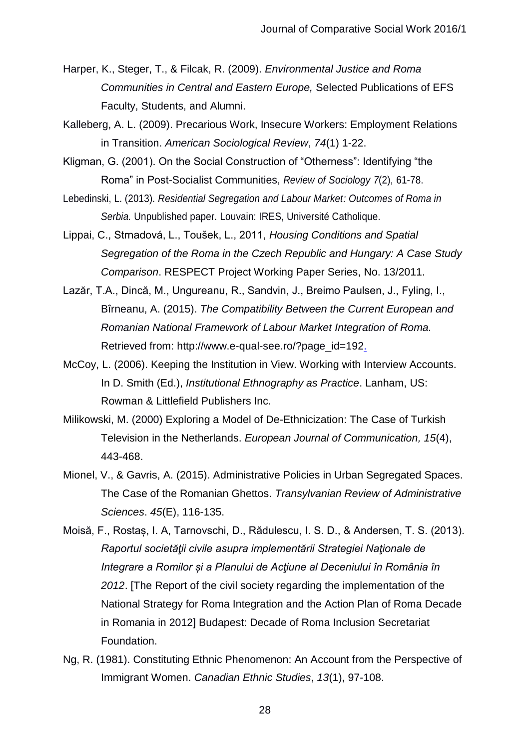- Harper, K., Steger, T., & Filcak, R. (2009). *Environmental Justice and Roma Communities in Central and Eastern Europe,* Selected Publications of EFS Faculty, Students, and Alumni.
- Kalleberg, A. L. (2009). Precarious Work, Insecure Workers: Employment Relations in Transition. *American Sociological Review*, *74*(1) 1-22.
- Kligman, G. (2001). On the Social Construction of "Otherness": Identifying "the Roma" in Post-Socialist Communities, *Review of Sociology 7*(2), 61-78.
- Lebedinski, L. (2013). *Residential Segregation and Labour Market: Outcomes of Roma in Serbia.* Unpublished paper. Louvain: IRES, Université Catholique.
- Lippai, C., Strnadová, L., Toušek, L., 2011, *Housing Conditions and Spatial Segregation of the Roma in the Czech Republic and Hungary: A Case Study Comparison*. RESPECT Project Working Paper Series, No. 13/2011.
- Lazăr, T.A., Dincă, M., Ungureanu, R., Sandvin, J., Breimo Paulsen, J., Fyling, I., Bîrneanu, A. (2015). *The Compatibility Between the Current European and Romanian National Framework of Labour Market Integration of Roma.* Retrieved from: http://www.e-qual-see.ro/?page\_id=192.
- McCoy, L. (2006). Keeping the Institution in View. Working with Interview Accounts. In D. Smith (Ed.), *Institutional Ethnography as Practice*. Lanham, US: Rowman & Littlefield Publishers Inc.
- [Milikowski,](http://ejc.sagepub.com/search?author1=Marisca+Milikowski&sortspec=date&submit=Submit) M. (2000) Exploring a Model of De-Ethnicization: The Case of Turkish Television in the Netherlands. *European Journal of Communication, 15*(4), 443-468.
- Mionel, V., & Gavris, A. (2015). Administrative Policies in Urban Segregated Spaces. The Case of the Romanian Ghettos. *Transylvanian Review of Administrative Sciences*. *45*(E), 116-135.
- Moisă, F., Rostaș, I. A, Tarnovschi, D., Rădulescu, I. S. D., & Andersen, T. S. (2013). *Raportul societăţii civile asupra implementării Strategiei Naţionale de Integrare a Romilor și a Planului de Acţiune al Deceniului în România în 2012*. [The Report of the civil society regarding the implementation of the National Strategy for Roma Integration and the Action Plan of Roma Decade in Romania in 2012] Budapest: Decade of Roma Inclusion Secretariat Foundation.
- Ng, R. (1981). Constituting Ethnic Phenomenon: An Account from the Perspective of Immigrant Women. *Canadian Ethnic Studies*, *13*(1), 97-108.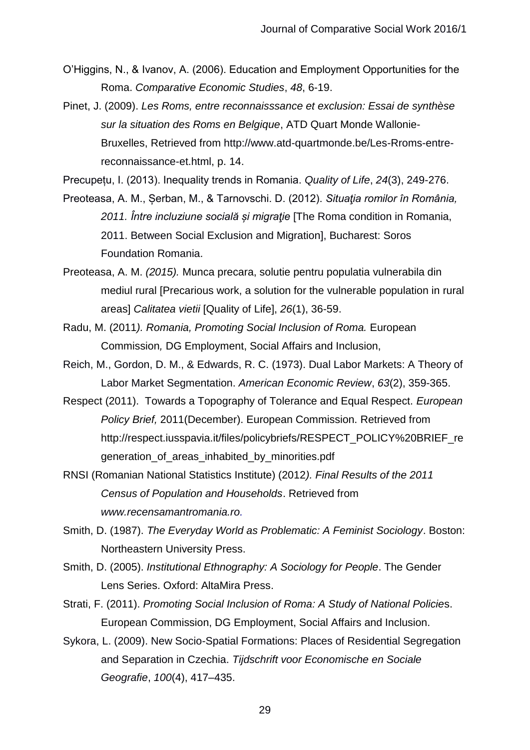- O'Higgins, N., & Ivanov, A. (2006). Education and Employment Opportunities for the Roma. *Comparative Economic Studies*, *48*, 6-19.
- Pinet, J. (2009). *Les Roms, entre reconnaisssance et exclusion: Essai de synthèse sur la situation des Roms en Belgique*, ATD Quart Monde Wallonie-Bruxelles, Retrieved from http://www.atd-quartmonde.be/Les-Rroms-entrereconnaissance-et.html, p. 14.
- Precupețu, I. (2013). Inequality trends in Romania. *Quality of Life*, *24*(3), 249-276.
- Preoteasa, A. M., Șerban, M., & Tarnovschi. D. (2012). *Situaţia romilor în România, 2011. Între incluziune socială și migraţie* [The Roma condition in Romania, 2011. Between Social Exclusion and Migration], Bucharest: Soros Foundation Romania.
- Preoteasa, A. M. *(2015).* Munca precara, solutie pentru populatia vulnerabila din mediul rural [Precarious work, a solution for the vulnerable population in rural areas] *Calitatea vietii* [Quality of Life], *26*(1), 36-59.
- Radu, M. (2011*). Romania, Promoting Social Inclusion of Roma.* European Commission*,* DG Employment, Social Affairs and Inclusion,
- Reich, M., Gordon, D. M., & Edwards, R. C. (1973). Dual Labor Markets: A Theory of Labor Market Segmentation. *American Economic Review*, *63*(2), 359-365.
- Respect (2011). Towards a Topography of Tolerance and Equal Respect. *European Policy Brief,* 2011(December). European Commission. Retrieved from http://respect.iusspavia.it/files/policybriefs/RESPECT\_POLICY%20BRIEF\_re generation\_of\_areas\_inhabited\_by\_minorities.pdf
- RNSI (Romanian National Statistics Institute) (2012*). Final Results of the 2011 Census of Population and Households*. Retrieved from *www.recensamantromania.ro.*
- Smith, D. (1987). *The Everyday World as Problematic: A Feminist Sociology*. Boston: Northeastern University Press.
- Smith, D. (2005). *Institutional Ethnography: A Sociology for People*. The Gender Lens Series. Oxford: AltaMira Press.
- Strati, F. (2011). *Promoting Social Inclusion of Roma: A Study of National Policie*s. European Commission, DG Employment, Social Affairs and Inclusion.
- Sykora, L. (2009). New Socio-Spatial Formations: Places of Residential Segregation and Separation in Czechia. *Tijdschrift voor Economische en Sociale Geografie*, *100*(4), 417–435.